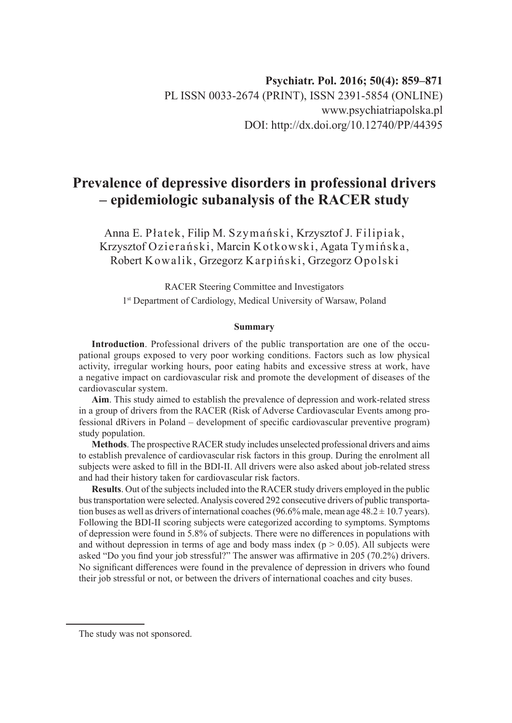# **Prevalence of depressive disorders in professional drivers – epidemiologic subanalysis of the RACER study**

Anna E. Płatek, Filip M. Szymański, Krzysztof J. Filipiak, Krzysztof Ozierański, Marcin Kotkowski, Agata Tymińska, Robert Kowalik, Grzegorz Karpiński, Grzegorz Opolski

RACER Steering Committee and Investigators 1st Department of Cardiology, Medical University of Warsaw, Poland

## **Summary**

**Introduction**. Professional drivers of the public transportation are one of the occupational groups exposed to very poor working conditions. Factors such as low physical activity, irregular working hours, poor eating habits and excessive stress at work, have a negative impact on cardiovascular risk and promote the development of diseases of the cardiovascular system.

**Aim**. This study aimed to establish the prevalence of depression and work-related stress in a group of drivers from the RACER (Risk of Adverse Cardiovascular Events among professional dRivers in Poland – development of specific cardiovascular preventive program) study population.

**Methods**. The prospective RACER study includes unselected professional drivers and aims to establish prevalence of cardiovascular risk factors in this group. During the enrolment all subjects were asked to fill in the BDI-II. All drivers were also asked about job-related stress and had their history taken for cardiovascular risk factors.

**Results**. Out of the subjects included into the RACER study drivers employed in the public bus transportation were selected. Analysis covered 292 consecutive drivers of public transportation buses as well as drivers of international coaches (96.6% male, mean age  $48.2 \pm 10.7$  years). Following the BDI-II scoring subjects were categorized according to symptoms. Symptoms of depression were found in 5.8% of subjects. There were no differences in populations with and without depression in terms of age and body mass index ( $p > 0.05$ ). All subjects were asked "Do you find your job stressful?" The answer was affirmative in 205 (70.2%) drivers. No significant differences were found in the prevalence of depression in drivers who found their job stressful or not, or between the drivers of international coaches and city buses.

The study was not sponsored.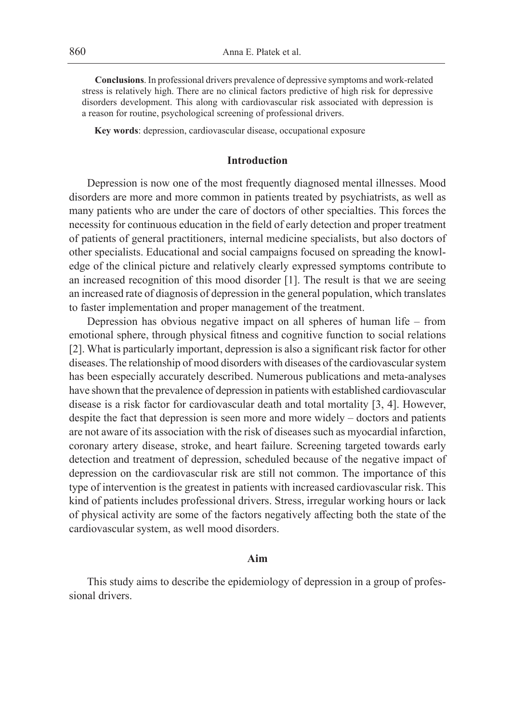**Conclusions**. In professional drivers prevalence of depressive symptoms and work-related stress is relatively high. There are no clinical factors predictive of high risk for depressive disorders development. This along with cardiovascular risk associated with depression is a reason for routine, psychological screening of professional drivers.

**Key words**: depression, cardiovascular disease, occupational exposure

# **Introduction**

Depression is now one of the most frequently diagnosed mental illnesses. Mood disorders are more and more common in patients treated by psychiatrists, as well as many patients who are under the care of doctors of other specialties. This forces the necessity for continuous education in the field of early detection and proper treatment of patients of general practitioners, internal medicine specialists, but also doctors of other specialists. Educational and social campaigns focused on spreading the knowledge of the clinical picture and relatively clearly expressed symptoms contribute to an increased recognition of this mood disorder [1]. The result is that we are seeing an increased rate of diagnosis of depression in the general population, which translates to faster implementation and proper management of the treatment.

Depression has obvious negative impact on all spheres of human life – from emotional sphere, through physical fitness and cognitive function to social relations [2]. What is particularly important, depression is also a significant risk factor for other diseases. The relationship of mood disorders with diseases of the cardiovascular system has been especially accurately described. Numerous publications and meta-analyses have shown that the prevalence of depression in patients with established cardiovascular disease is a risk factor for cardiovascular death and total mortality [3, 4]. However, despite the fact that depression is seen more and more widely – doctors and patients are not aware of its association with the risk of diseases such as myocardial infarction, coronary artery disease, stroke, and heart failure. Screening targeted towards early detection and treatment of depression, scheduled because of the negative impact of depression on the cardiovascular risk are still not common. The importance of this type of intervention is the greatest in patients with increased cardiovascular risk. This kind of patients includes professional drivers. Stress, irregular working hours or lack of physical activity are some of the factors negatively affecting both the state of the cardiovascular system, as well mood disorders.

# **Aim**

This study aims to describe the epidemiology of depression in a group of professional drivers.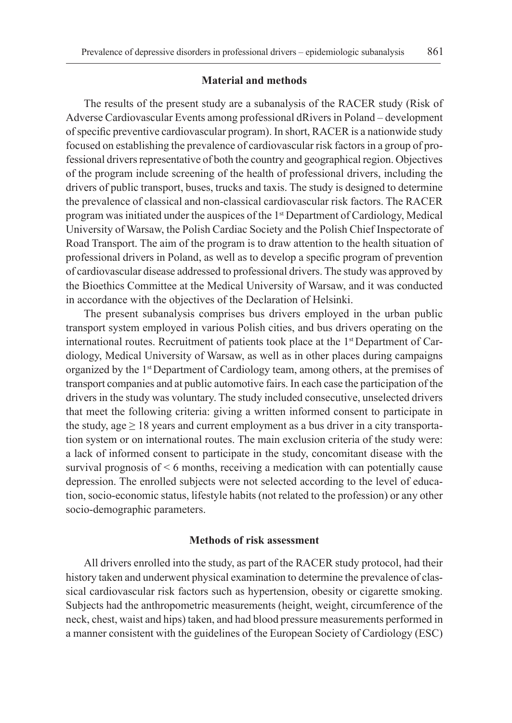#### **Material and methods**

The results of the present study are a subanalysis of the RACER study (Risk of Adverse Cardiovascular Events among professional dRivers in Poland – development of specific preventive cardiovascular program). In short, RACER is a nationwide study focused on establishing the prevalence of cardiovascular risk factors in a group of professional drivers representative of both the country and geographical region. Objectives of the program include screening of the health of professional drivers, including the drivers of public transport, buses, trucks and taxis. The study is designed to determine the prevalence of classical and non-classical cardiovascular risk factors. The RACER program was initiated under the auspices of the 1st Department of Cardiology, Medical University of Warsaw, the Polish Cardiac Society and the Polish Chief Inspectorate of Road Transport. The aim of the program is to draw attention to the health situation of professional drivers in Poland, as well as to develop a specific program of prevention of cardiovascular disease addressed to professional drivers. The study was approved by the Bioethics Committee at the Medical University of Warsaw, and it was conducted in accordance with the objectives of the Declaration of Helsinki.

The present subanalysis comprises bus drivers employed in the urban public transport system employed in various Polish cities, and bus drivers operating on the international routes. Recruitment of patients took place at the  $1<sup>st</sup>$  Department of Cardiology, Medical University of Warsaw, as well as in other places during campaigns organized by the 1st Department of Cardiology team, among others, at the premises of transport companies and at public automotive fairs. In each case the participation of the drivers in the study was voluntary. The study included consecutive, unselected drivers that meet the following criteria: giving a written informed consent to participate in the study, age  $\geq 18$  years and current employment as a bus driver in a city transportation system or on international routes. The main exclusion criteria of the study were: a lack of informed consent to participate in the study, concomitant disease with the survival prognosis of < 6 months, receiving a medication with can potentially cause depression. The enrolled subjects were not selected according to the level of education, socio-economic status, lifestyle habits (not related to the profession) or any other socio-demographic parameters.

## **Methods of risk assessment**

All drivers enrolled into the study, as part of the RACER study protocol, had their history taken and underwent physical examination to determine the prevalence of classical cardiovascular risk factors such as hypertension, obesity or cigarette smoking. Subjects had the anthropometric measurements (height, weight, circumference of the neck, chest, waist and hips) taken, and had blood pressure measurements performed in a manner consistent with the guidelines of the European Society of Cardiology (ESC)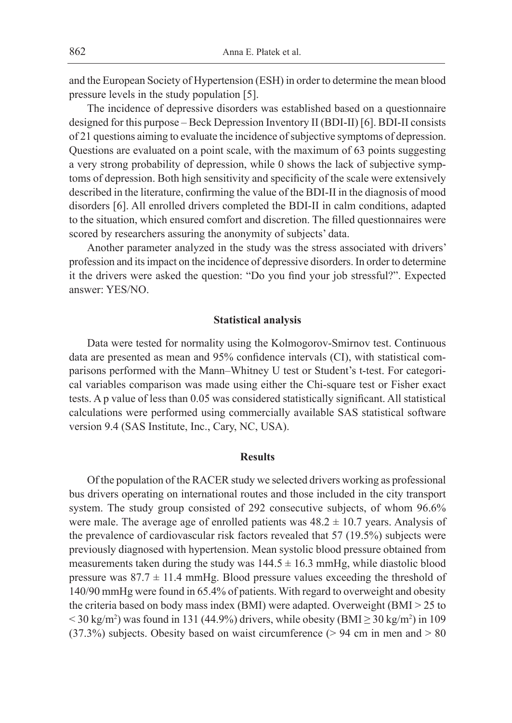and the European Society of Hypertension (ESH) in order to determine the mean blood pressure levels in the study population [5].

The incidence of depressive disorders was established based on a questionnaire designed for this purpose – Beck Depression Inventory II (BDI-II) [6]. BDI-II consists of 21 questions aiming to evaluate the incidence of subjective symptoms of depression. Questions are evaluated on a point scale, with the maximum of 63 points suggesting a very strong probability of depression, while 0 shows the lack of subjective symptoms of depression. Both high sensitivity and specificity of the scale were extensively described in the literature, confirming the value of the BDI-II in the diagnosis of mood disorders [6]. All enrolled drivers completed the BDI-II in calm conditions, adapted to the situation, which ensured comfort and discretion. The filled questionnaires were scored by researchers assuring the anonymity of subjects' data.

Another parameter analyzed in the study was the stress associated with drivers' profession and its impact on the incidence of depressive disorders. In order to determine it the drivers were asked the question: "Do you find your job stressful?". Expected answer: YES/NO.

#### **Statistical analysis**

Data were tested for normality using the Kolmogorov-Smirnov test. Continuous data are presented as mean and 95% confidence intervals (CI), with statistical comparisons performed with the Mann–Whitney U test or Student's t-test. For categorical variables comparison was made using either the Chi-square test or Fisher exact tests. A p value of less than 0.05 was considered statistically significant. All statistical calculations were performed using commercially available SAS statistical software version 9.4 (SAS Institute, Inc., Cary, NC, USA).

# **Results**

Of the population of the RACER study we selected drivers working as professional bus drivers operating on international routes and those included in the city transport system. The study group consisted of 292 consecutive subjects, of whom 96.6% were male. The average age of enrolled patients was  $48.2 \pm 10.7$  years. Analysis of the prevalence of cardiovascular risk factors revealed that 57 (19.5%) subjects were previously diagnosed with hypertension. Mean systolic blood pressure obtained from measurements taken during the study was  $144.5 \pm 16.3$  mmHg, while diastolic blood pressure was  $87.7 \pm 11.4$  mmHg. Blood pressure values exceeding the threshold of 140/90 mmHg were found in 65.4% of patients. With regard to overweight and obesity the criteria based on body mass index (BMI) were adapted. Overweight (BMI > 25 to  $<$  30 kg/m<sup>2</sup>) was found in 131 (44.9%) drivers, while obesity (BMI  $\geq$  30 kg/m<sup>2</sup>) in 109  $(37.3%)$  subjects. Obesity based on waist circumference (> 94 cm in men and > 80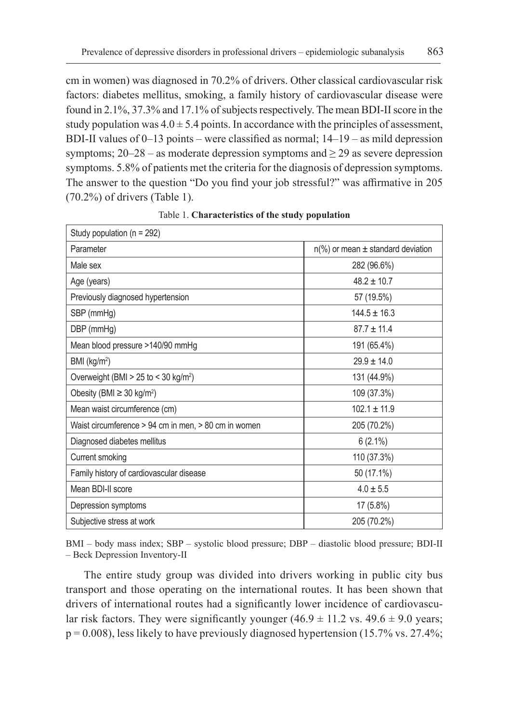cm in women) was diagnosed in 70.2% of drivers. Other classical cardiovascular risk factors: diabetes mellitus, smoking, a family history of cardiovascular disease were found in 2.1%, 37.3% and 17.1% of subjects respectively. The mean BDI-II score in the study population was  $4.0 \pm 5.4$  points. In accordance with the principles of assessment, BDI-II values of  $0-13$  points – were classified as normal;  $14-19$  – as mild depression symptoms;  $20-28$  – as moderate depression symptoms and  $\geq$  29 as severe depression symptoms. 5.8% of patients met the criteria for the diagnosis of depression symptoms. The answer to the question "Do you find your job stressful?" was affirmative in 205 (70.2%) of drivers (Table 1).

| $n$ <sup>(%</sup> ) or mean $\pm$ standard deviation |
|------------------------------------------------------|
| 282 (96.6%)                                          |
| $48.2 \pm 10.7$                                      |
| 57 (19.5%)                                           |
| $144.5 \pm 16.3$                                     |
| $87.7 + 11.4$                                        |
| 191 (65.4%)                                          |
| $29.9 \pm 14.0$                                      |
| 131 (44.9%)                                          |
| 109 (37.3%)                                          |
| $102.1 \pm 11.9$                                     |
| 205 (70.2%)                                          |
| $6(2.1\%)$                                           |
| 110 (37.3%)                                          |
| 50 (17.1%)                                           |
| $4.0 \pm 5.5$                                        |
| 17 (5.8%)                                            |
| 205 (70.2%)                                          |
|                                                      |

Table 1. **Characteristics of the study population**

BMI – body mass index; SBP – systolic blood pressure; DBP – diastolic blood pressure; BDI-II – Beck Depression Inventory-II

The entire study group was divided into drivers working in public city bus transport and those operating on the international routes. It has been shown that drivers of international routes had a significantly lower incidence of cardiovascular risk factors. They were significantly younger  $(46.9 \pm 11.2 \text{ vs. } 49.6 \pm 9.0 \text{ years})$  $p = 0.008$ ), less likely to have previously diagnosed hypertension (15.7% vs. 27.4%;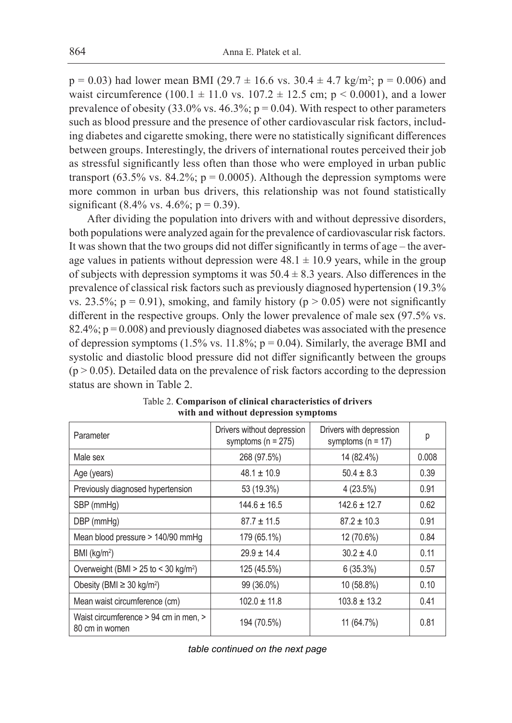$p = 0.03$ ) had lower mean BMI (29.7  $\pm$  16.6 vs. 30.4  $\pm$  4.7 kg/m<sup>2</sup>; p = 0.006) and waist circumference (100.1  $\pm$  11.0 vs. 107.2  $\pm$  12.5 cm; p < 0.0001), and a lower prevalence of obesity (33.0% vs. 46.3%;  $p = 0.04$ ). With respect to other parameters such as blood pressure and the presence of other cardiovascular risk factors, including diabetes and cigarette smoking, there were no statistically significant differences between groups. Interestingly, the drivers of international routes perceived their job as stressful significantly less often than those who were employed in urban public transport (63.5% vs. 84.2%;  $p = 0.0005$ ). Although the depression symptoms were more common in urban bus drivers, this relationship was not found statistically significant (8.4% vs. 4.6%;  $p = 0.39$ ).

After dividing the population into drivers with and without depressive disorders, both populations were analyzed again for the prevalence of cardiovascular risk factors. It was shown that the two groups did not differ significantly in terms of age – the average values in patients without depression were  $48.1 \pm 10.9$  years, while in the group of subjects with depression symptoms it was  $50.4 \pm 8.3$  years. Also differences in the prevalence of classical risk factors such as previously diagnosed hypertension (19.3% vs. 23.5%;  $p = 0.91$ ), smoking, and family history ( $p > 0.05$ ) were not significantly different in the respective groups. Only the lower prevalence of male sex (97.5% vs. 82.4%;  $p = 0.008$ ) and previously diagnosed diabetes was associated with the presence of depression symptoms (1.5% vs. 11.8%;  $p = 0.04$ ). Similarly, the average BMI and systolic and diastolic blood pressure did not differ significantly between the groups  $(p > 0.05)$ . Detailed data on the prevalence of risk factors according to the depression status are shown in Table 2.

| Parameter                                               | Drivers without depression<br>symptoms ( $n = 275$ ) | Drivers with depression<br>symptoms ( $n = 17$ ) | р     |
|---------------------------------------------------------|------------------------------------------------------|--------------------------------------------------|-------|
| Male sex                                                | 268 (97.5%)                                          | 14 (82.4%)                                       | 0.008 |
| Age (years)                                             | $48.1 + 10.9$                                        | $50.4 \pm 8.3$                                   | 0.39  |
| Previously diagnosed hypertension                       | 53 (19.3%)                                           | 4(23.5%)                                         | 0.91  |
| SBP (mmHg)                                              | $144.6 \pm 16.5$                                     | $142.6 \pm 12.7$                                 | 0.62  |
| DBP (mmHg)                                              | $87.7 \pm 11.5$                                      | $87.2 \pm 10.3$                                  | 0.91  |
| Mean blood pressure > 140/90 mmHq                       | 179 (65.1%)                                          | 12 (70.6%)                                       | 0.84  |
| BMI (kg/m <sup>2</sup> )                                | $29.9 \pm 14.4$                                      | $30.2 \pm 4.0$                                   | 0.11  |
| Overweight (BMI $>$ 25 to $<$ 30 kg/m <sup>2</sup> )    | 125 (45.5%)                                          | 6(35.3%)                                         | 0.57  |
| Obesity (BMI $\geq$ 30 kg/m <sup>2</sup> )              | 99 (36.0%)                                           | 10 (58.8%)                                       | 0.10  |
| Mean waist circumference (cm)                           | $102.0 \pm 11.8$                                     | $103.8 \pm 13.2$                                 | 0.41  |
| Waist circumference > 94 cm in men, ><br>80 cm in women | 194 (70.5%)                                          | 11 (64.7%)                                       | 0.81  |

Table 2. **Comparison of clinical characteristics of drivers with and without depression symptoms**

*table continued on the next page*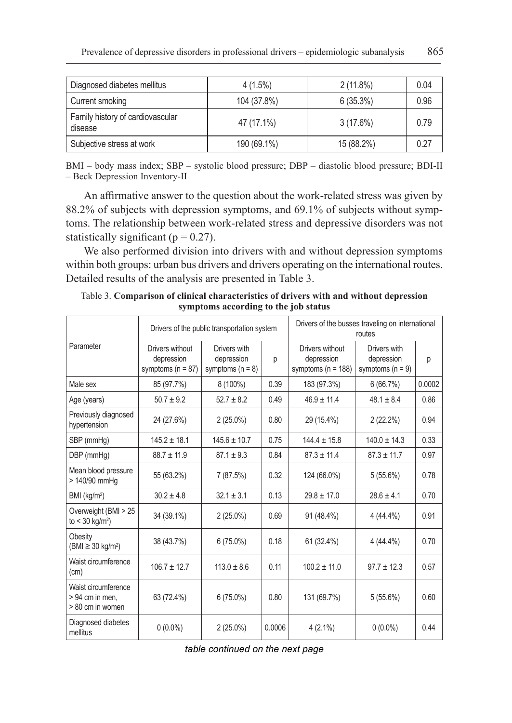| Diagnosed diabetes mellitus                 | $4(1.5\%)$  | $2(11.8\%)$ | 0.04 |
|---------------------------------------------|-------------|-------------|------|
| Current smoking                             | 104 (37.8%) | 6(35.3%)    | 0.96 |
| Family history of cardiovascular<br>disease | 47 (17.1%)  | 3(17.6%)    | 0.79 |
| Subjective stress at work                   | 190 (69.1%) | 15 (88.2%)  | 0.27 |

BMI – body mass index; SBP – systolic blood pressure; DBP – diastolic blood pressure; BDI-II – Beck Depression Inventory-II

An affirmative answer to the question about the work-related stress was given by 88.2% of subjects with depression symptoms, and 69.1% of subjects without symptoms. The relationship between work-related stress and depressive disorders was not statistically significant ( $p = 0.27$ ).

We also performed division into drivers with and without depression symptoms within both groups: urban bus drivers and drivers operating on the international routes. Detailed results of the analysis are presented in Table 3.

|                                                            | Drivers of the public transportation system            |                                                  |        | Drivers of the busses traveling on international<br>routes |                                                  |        |
|------------------------------------------------------------|--------------------------------------------------------|--------------------------------------------------|--------|------------------------------------------------------------|--------------------------------------------------|--------|
| Parameter                                                  | Drivers without<br>depression<br>symptoms ( $n = 87$ ) | Drivers with<br>depression<br>symptoms $(n = 8)$ | p      | Drivers without<br>depression<br>symptoms ( $n = 188$ )    | Drivers with<br>depression<br>symptoms $(n = 9)$ | p      |
| Male sex                                                   | 85 (97.7%)                                             | 8 (100%)                                         | 0.39   | 183 (97.3%)                                                | 6(66.7%)                                         | 0.0002 |
| Age (years)                                                | $50.7 \pm 9.2$                                         | $52.7 \pm 8.2$                                   | 0.49   | $46.9 \pm 11.4$                                            | $48.1 \pm 8.4$                                   | 0.86   |
| Previously diagnosed<br>hypertension                       | 24 (27.6%)                                             | $2(25.0\%)$                                      | 0.80   | 29 (15.4%)                                                 | 2(22.2%)                                         | 0.94   |
| SBP (mmHq)                                                 | $145.2 \pm 18.1$                                       | $145.6 \pm 10.7$                                 | 0.75   | $144.4 \pm 15.8$                                           | $140.0 \pm 14.3$                                 | 0.33   |
| DBP (mmHq)                                                 | $88.7 \pm 11.9$                                        | $87.1 \pm 9.3$                                   | 0.84   | $87.3 \pm 11.4$                                            | $87.3 \pm 11.7$                                  | 0.97   |
| Mean blood pressure<br>> 140/90 mmHg                       | 55 (63.2%)                                             | 7 (87.5%)                                        | 0.32   | 124 (66.0%)                                                | 5(55.6%)                                         | 0.78   |
| BMI (kg/m <sup>2</sup> )                                   | $30.2 \pm 4.8$                                         | $32.1 \pm 3.1$                                   | 0.13   | $29.8 \pm 17.0$                                            | $28.6 \pm 4.1$                                   | 0.70   |
| Overweight (BMI > 25<br>to < 30 kg/m <sup>2</sup> )        | 34 (39.1%)                                             | $2(25.0\%)$                                      | 0.69   | 91 (48.4%)                                                 | $4(44.4\%)$                                      | 0.91   |
| Obesity<br>(BMI $\geq$ 30 kg/m <sup>2</sup> )              | 38 (43.7%)                                             | $6(75.0\%)$                                      | 0.18   | 61 (32.4%)                                                 | $4(44.4\%)$                                      | 0.70   |
| Waist circumference<br>(cm)                                | $106.7 \pm 12.7$                                       | $113.0 \pm 8.6$                                  | 0.11   | $100.2 \pm 11.0$                                           | $97.7 \pm 12.3$                                  | 0.57   |
| Waist circumference<br>> 94 cm in men,<br>> 80 cm in women | 63 (72.4%)                                             | $6(75.0\%)$                                      | 0.80   | 131 (69.7%)                                                | 5(55.6%)                                         | 0.60   |
| Diagnosed diabetes<br>mellitus                             | $0(0.0\%)$                                             | $2(25.0\%)$                                      | 0.0006 | $4(2.1\%)$                                                 | $0(0.0\%)$                                       | 0.44   |

Table 3. **Comparison of clinical characteristics of drivers with and without depression symptoms according to the job status**

*table continued on the next page*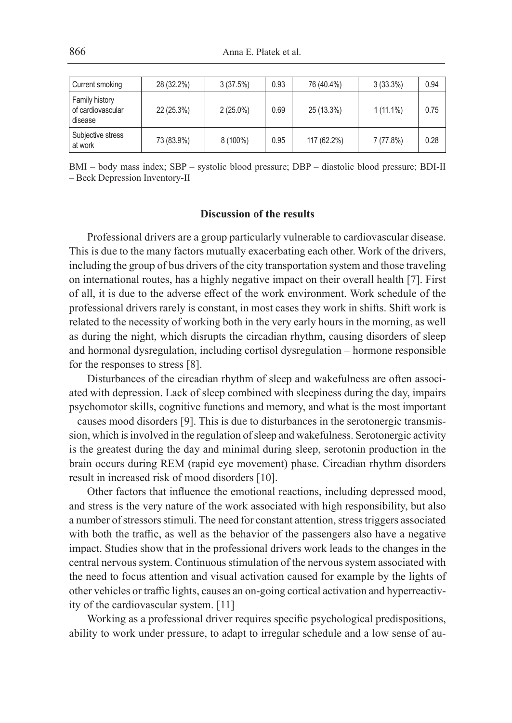| Current smoking                                       | 28 (32.2%) | 3(37.5%)    | 0.93 | 76 (40.4%)  | 3(33.3%)    | 0.94 |
|-------------------------------------------------------|------------|-------------|------|-------------|-------------|------|
| <b>Family history</b><br>of cardiovascular<br>disease | 22(25.3%)  | $2(25.0\%)$ | 0.69 | 25 (13.3%)  | $1(11.1\%)$ | 0.75 |
| Subjective stress<br>at work                          | 73 (83.9%) | $8(100\%)$  | 0.95 | 117 (62.2%) | 7(77.8%)    | 0.28 |

BMI – body mass index; SBP – systolic blood pressure; DBP – diastolic blood pressure; BDI-II – Beck Depression Inventory-II

# **Discussion of the results**

Professional drivers are a group particularly vulnerable to cardiovascular disease. This is due to the many factors mutually exacerbating each other. Work of the drivers, including the group of bus drivers of the city transportation system and those traveling on international routes, has a highly negative impact on their overall health [7]. First of all, it is due to the adverse effect of the work environment. Work schedule of the professional drivers rarely is constant, in most cases they work in shifts. Shift work is related to the necessity of working both in the very early hours in the morning, as well as during the night, which disrupts the circadian rhythm, causing disorders of sleep and hormonal dysregulation, including cortisol dysregulation – hormone responsible for the responses to stress [8].

Disturbances of the circadian rhythm of sleep and wakefulness are often associated with depression. Lack of sleep combined with sleepiness during the day, impairs psychomotor skills, cognitive functions and memory, and what is the most important – causes mood disorders [9]. This is due to disturbances in the serotonergic transmission, which is involved in the regulation of sleep and wakefulness. Serotonergic activity is the greatest during the day and minimal during sleep, serotonin production in the brain occurs during REM (rapid eye movement) phase. Circadian rhythm disorders result in increased risk of mood disorders [10].

Other factors that influence the emotional reactions, including depressed mood, and stress is the very nature of the work associated with high responsibility, but also a number of stressors stimuli. The need for constant attention, stress triggers associated with both the traffic, as well as the behavior of the passengers also have a negative impact. Studies show that in the professional drivers work leads to the changes in the central nervous system. Continuous stimulation of the nervous system associated with the need to focus attention and visual activation caused for example by the lights of other vehicles or traffic lights, causes an on-going cortical activation and hyperreactivity of the cardiovascular system. [11]

Working as a professional driver requires specific psychological predispositions, ability to work under pressure, to adapt to irregular schedule and a low sense of au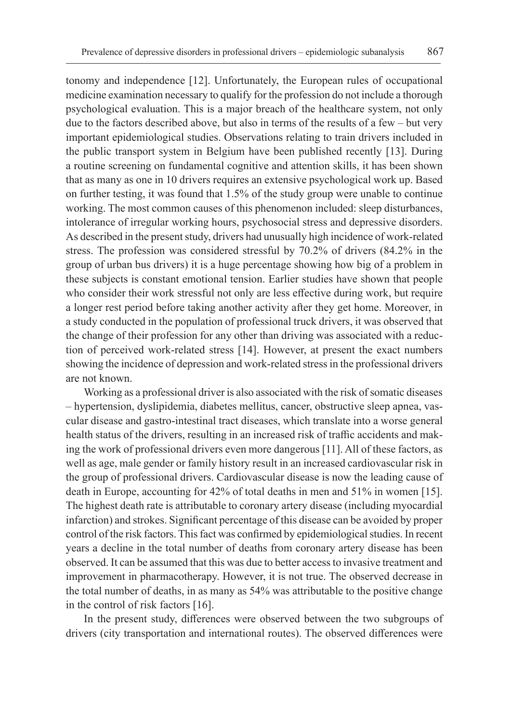tonomy and independence [12]. Unfortunately, the European rules of occupational medicine examination necessary to qualify for the profession do not include a thorough psychological evaluation. This is a major breach of the healthcare system, not only due to the factors described above, but also in terms of the results of a few – but very important epidemiological studies. Observations relating to train drivers included in the public transport system in Belgium have been published recently [13]. During a routine screening on fundamental cognitive and attention skills, it has been shown that as many as one in 10 drivers requires an extensive psychological work up. Based on further testing, it was found that 1.5% of the study group were unable to continue working. The most common causes of this phenomenon included: sleep disturbances, intolerance of irregular working hours, psychosocial stress and depressive disorders. As described in the present study, drivers had unusually high incidence of work-related stress. The profession was considered stressful by 70.2% of drivers (84.2% in the group of urban bus drivers) it is a huge percentage showing how big of a problem in these subjects is constant emotional tension. Earlier studies have shown that people who consider their work stressful not only are less effective during work, but require a longer rest period before taking another activity after they get home. Moreover, in a study conducted in the population of professional truck drivers, it was observed that the change of their profession for any other than driving was associated with a reduction of perceived work-related stress [14]. However, at present the exact numbers showing the incidence of depression and work-related stress in the professional drivers are not known.

Working as a professional driver is also associated with the risk of somatic diseases – hypertension, dyslipidemia, diabetes mellitus, cancer, obstructive sleep apnea, vascular disease and gastro-intestinal tract diseases, which translate into a worse general health status of the drivers, resulting in an increased risk of traffic accidents and making the work of professional drivers even more dangerous [11]. All of these factors, as well as age, male gender or family history result in an increased cardiovascular risk in the group of professional drivers. Cardiovascular disease is now the leading cause of death in Europe, accounting for 42% of total deaths in men and 51% in women [15]. The highest death rate is attributable to coronary artery disease (including myocardial infarction) and strokes. Significant percentage of this disease can be avoided by proper control of the risk factors. This fact was confirmed by epidemiological studies. In recent years a decline in the total number of deaths from coronary artery disease has been observed. It can be assumed that this was due to better access to invasive treatment and improvement in pharmacotherapy. However, it is not true. The observed decrease in the total number of deaths, in as many as 54% was attributable to the positive change in the control of risk factors [16].

In the present study, differences were observed between the two subgroups of drivers (city transportation and international routes). The observed differences were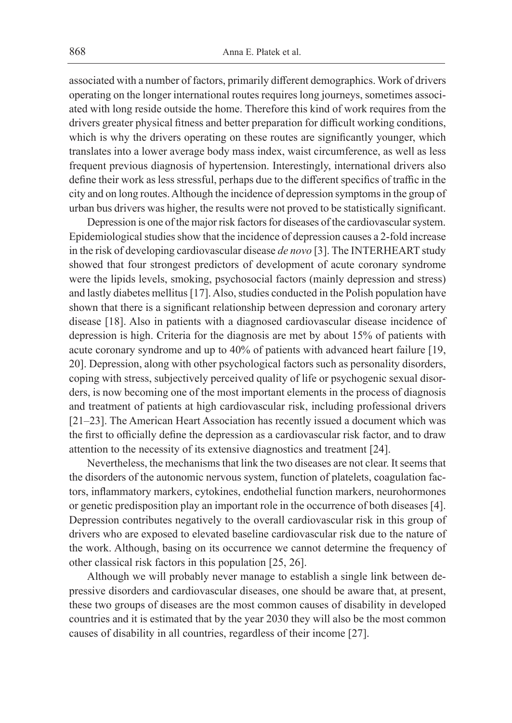associated with a number of factors, primarily different demographics. Work of drivers operating on the longer international routes requires long journeys, sometimes associated with long reside outside the home. Therefore this kind of work requires from the drivers greater physical fitness and better preparation for difficult working conditions, which is why the drivers operating on these routes are significantly younger, which translates into a lower average body mass index, waist circumference, as well as less frequent previous diagnosis of hypertension. Interestingly, international drivers also define their work as less stressful, perhaps due to the different specifics of traffic in the city and on long routes. Although the incidence of depression symptoms in the group of urban bus drivers was higher, the results were not proved to be statistically significant.

Depression is one of the major risk factors for diseases of the cardiovascular system. Epidemiological studies show that the incidence of depression causes a 2-fold increase in the risk of developing cardiovascular disease *de novo* [3]. The INTERHEART study showed that four strongest predictors of development of acute coronary syndrome were the lipids levels, smoking, psychosocial factors (mainly depression and stress) and lastly diabetes mellitus [17]. Also, studies conducted in the Polish population have shown that there is a significant relationship between depression and coronary artery disease [18]. Also in patients with a diagnosed cardiovascular disease incidence of depression is high. Criteria for the diagnosis are met by about 15% of patients with acute coronary syndrome and up to 40% of patients with advanced heart failure [19, 20]. Depression, along with other psychological factors such as personality disorders, coping with stress, subjectively perceived quality of life or psychogenic sexual disorders, is now becoming one of the most important elements in the process of diagnosis and treatment of patients at high cardiovascular risk, including professional drivers [21–23]. The American Heart Association has recently issued a document which was the first to officially define the depression as a cardiovascular risk factor, and to draw attention to the necessity of its extensive diagnostics and treatment [24].

Nevertheless, the mechanisms that link the two diseases are not clear. It seems that the disorders of the autonomic nervous system, function of platelets, coagulation factors, inflammatory markers, cytokines, endothelial function markers, neurohormones or genetic predisposition play an important role in the occurrence of both diseases [4]. Depression contributes negatively to the overall cardiovascular risk in this group of drivers who are exposed to elevated baseline cardiovascular risk due to the nature of the work. Although, basing on its occurrence we cannot determine the frequency of other classical risk factors in this population [25, 26].

Although we will probably never manage to establish a single link between depressive disorders and cardiovascular diseases, one should be aware that, at present, these two groups of diseases are the most common causes of disability in developed countries and it is estimated that by the year 2030 they will also be the most common causes of disability in all countries, regardless of their income [27].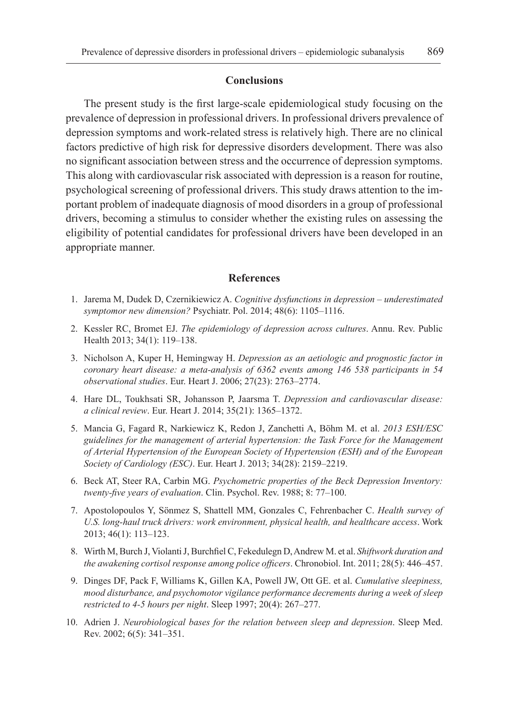#### **Conclusions**

The present study is the first large-scale epidemiological study focusing on the prevalence of depression in professional drivers. In professional drivers prevalence of depression symptoms and work-related stress is relatively high. There are no clinical factors predictive of high risk for depressive disorders development. There was also no significant association between stress and the occurrence of depression symptoms. This along with cardiovascular risk associated with depression is a reason for routine, psychological screening of professional drivers. This study draws attention to the important problem of inadequate diagnosis of mood disorders in a group of professional drivers, becoming a stimulus to consider whether the existing rules on assessing the eligibility of potential candidates for professional drivers have been developed in an appropriate manner.

# **References**

- 1. Jarema M, Dudek D, Czernikiewicz A. *Cognitive dysfunctions in depression underestimated symptomor new dimension?* Psychiatr. Pol. 2014; 48(6): 1105–1116.
- 2. Kessler RC, Bromet EJ. *The epidemiology of depression across cultures*. Annu. Rev. Public Health 2013; 34(1): 119–138.
- 3. Nicholson A, Kuper H, Hemingway H. *Depression as an aetiologic and prognostic factor in coronary heart disease: a meta-analysis of 6362 events among 146 538 participants in 54 observational studies*. Eur. Heart J. 2006; 27(23): 2763–2774.
- 4. Hare DL, Toukhsati SR, Johansson P, Jaarsma T. *Depression and cardiovascular disease: a clinical review*. Eur. Heart J. 2014; 35(21): 1365–1372.
- 5. Mancia G, Fagard R, Narkiewicz K, Redon J, Zanchetti A, Böhm M. et al. *2013 ESH/ESC guidelines for the management of arterial hypertension: the Task Force for the Management of Arterial Hypertension of the European Society of Hypertension (ESH) and of the European Society of Cardiology (ESC)*. Eur. Heart J. 2013; 34(28): 2159–2219.
- 6. Beck AT, Steer RA, Carbin MG. *Psychometric properties of the Beck Depression Inventory: twenty-five years of evaluation*. Clin. Psychol. Rev. 1988; 8: 77–100.
- 7. Apostolopoulos Y, Sönmez S, Shattell MM, Gonzales C, Fehrenbacher C. *Health survey of U.S. long-haul truck drivers: work environment, physical health, and healthcare access*. Work 2013; 46(1): 113–123.
- 8. Wirth M, Burch J, Violanti J, Burchfiel C, Fekedulegn D, Andrew M. et al. *Shiftwork duration and the awakening cortisol response among police officers*. Chronobiol. Int. 2011; 28(5): 446–457.
- 9. Dinges DF, Pack F, Williams K, Gillen KA, Powell JW, Ott GE. et al. *Cumulative sleepiness, mood disturbance, and psychomotor vigilance performance decrements during a week of sleep restricted to 4-5 hours per night*. Sleep 1997; 20(4): 267–277.
- 10. Adrien J. *Neurobiological bases for the relation between sleep and depression*. Sleep Med. Rev. 2002; 6(5): 341–351.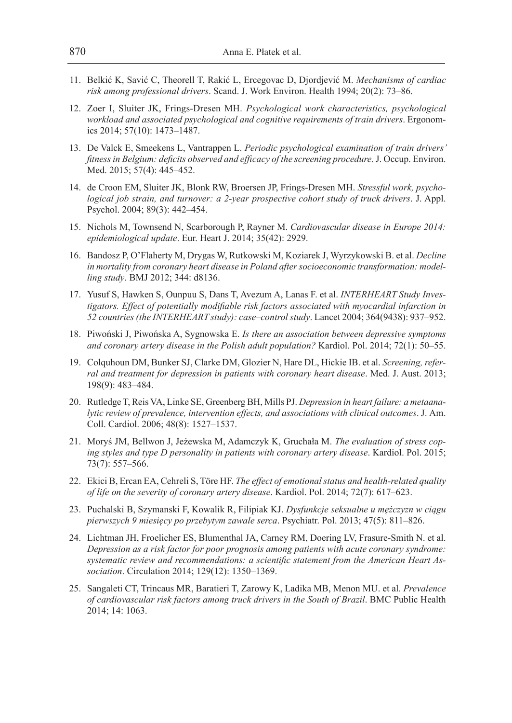- 11. Belkić K, Savić C, Theorell T, Rakić L, Ercegovac D, Djordjević M. *Mechanisms of cardiac risk among professional drivers*. Scand. J. Work Environ. Health 1994; 20(2): 73–86.
- 12. Zoer I, Sluiter JK, Frings-Dresen MH. *Psychological work characteristics, psychological workload and associated psychological and cognitive requirements of train drivers*. Ergonomics 2014; 57(10): 1473–1487.
- 13. De Valck E, Smeekens L, Vantrappen L. *Periodic psychological examination of train drivers' fitness in Belgium: deficits observed and efficacy of the screening procedure*. J. Occup. Environ. Med. 2015; 57(4): 445–452.
- 14. de Croon EM, Sluiter JK, Blonk RW, Broersen JP, Frings-Dresen MH. *Stressful work, psychological job strain, and turnover: a 2-year prospective cohort study of truck drivers*. J. Appl. Psychol. 2004; 89(3): 442–454.
- 15. Nichols M, Townsend N, Scarborough P, Rayner M. *Cardiovascular disease in Europe 2014: epidemiological update*. Eur. Heart J. 2014; 35(42): 2929.
- 16. Bandosz P, O'Flaherty M, Drygas W, Rutkowski M, Koziarek J, Wyrzykowski B. et al. *Decline in mortality from coronary heart disease in Poland after socioeconomic transformation: modelling study*. BMJ 2012; 344: d8136.
- 17. Yusuf S, Hawken S, Ounpuu S, Dans T, Avezum A, Lanas F. et al. *INTERHEART Study Investigators. Effect of potentially modifiable risk factors associated with myocardial infarction in 52 countries (the INTERHEART study): case–control study*. Lancet 2004; 364(9438): 937–952.
- 18. Piwoński J, Piwońska A, Sygnowska E. *Is there an association between depressive symptoms and coronary artery disease in the Polish adult population?* Kardiol. Pol. 2014; 72(1): 50–55.
- 19. Colquhoun DM, Bunker SJ, Clarke DM, Glozier N, Hare DL, Hickie IB. et al. *Screening, referral and treatment for depression in patients with coronary heart disease*. Med. J. Aust. 2013; 198(9): 483–484.
- 20. Rutledge T, Reis VA, Linke SE, Greenberg BH, Mills PJ. *Depression in heart failure: a metaanalytic review of prevalence, intervention effects, and associations with clinical outcomes*. J. Am. Coll. Cardiol. 2006; 48(8): 1527–1537.
- 21. Moryś JM, Bellwon J, Jeżewska M, Adamczyk K, Gruchała M. *The evaluation of stress coping styles and type D personality in patients with coronary artery disease*. Kardiol. Pol. 2015; 73(7): 557–566.
- 22. Ekici B, Ercan EA, Cehreli S, Töre HF. *The effect of emotional status and health-related quality of life on the severity of coronary artery disease*. Kardiol. Pol. 2014; 72(7): 617–623.
- 23. Puchalski B, Szymanski F, Kowalik R, Filipiak KJ. *Dysfunkcje seksualne u mężczyzn w ciągu pierwszych 9 miesięcy po przebytym zawale serca*. Psychiatr. Pol. 2013; 47(5): 811–826.
- 24. Lichtman JH, Froelicher ES, Blumenthal JA, Carney RM, Doering LV, Frasure-Smith N. et al. *Depression as a risk factor for poor prognosis among patients with acute coronary syndrome: systematic review and recommendations: a scientific statement from the American Heart Association*. Circulation 2014; 129(12): 1350–1369.
- 25. Sangaleti CT, Trincaus MR, Baratieri T, Zarowy K, Ladika MB, Menon MU. et al. *Prevalence of cardiovascular risk factors among truck drivers in the South of Brazil*. BMC Public Health 2014; 14: 1063.